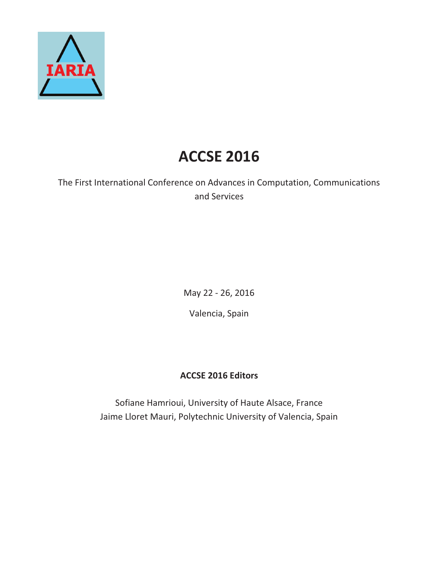

# **ACCSE 2016**

The First International Conference on Advances in Computation, Communications and Services

May 22 - 26, 2016

Valencia, Spain

## **ACCSE 2016 Editors**

Sofiane Hamrioui, University of Haute Alsace, France Jaime Lloret Mauri, Polytechnic University of Valencia, Spain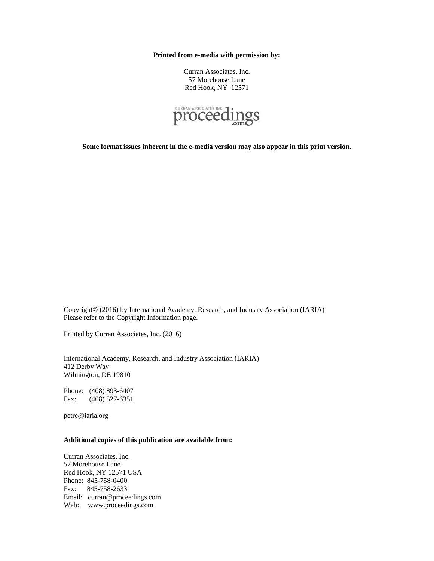**Printed from e-media with permission by:** 

Curran Associates, Inc. 57 Morehouse Lane Red Hook, NY 12571



**Some format issues inherent in the e-media version may also appear in this print version.** 

Copyright© (2016) by International Academy, Research, and Industry Association (IARIA) Please refer to the Copyright Information page.

Printed by Curran Associates, Inc. (2016)

International Academy, Research, and Industry Association (IARIA) 412 Derby Way Wilmington, DE 19810

Phone: (408) 893-6407 Fax: (408) 527-6351

petre@iaria.org

### **Additional copies of this publication are available from:**

Curran Associates, Inc. 57 Morehouse Lane Red Hook, NY 12571 USA Phone: 845-758-0400 Fax: 845-758-2633 Email: curran@proceedings.com Web: www.proceedings.com